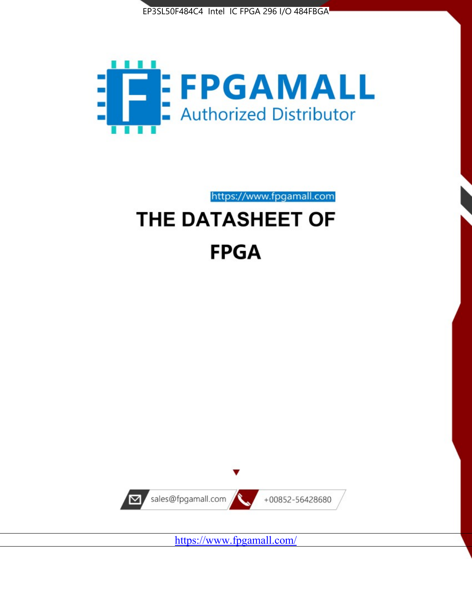



# https://www.fpgamall.com THE DATASHEET OF

# **FPGA**



<https://www.fpgamall.com/>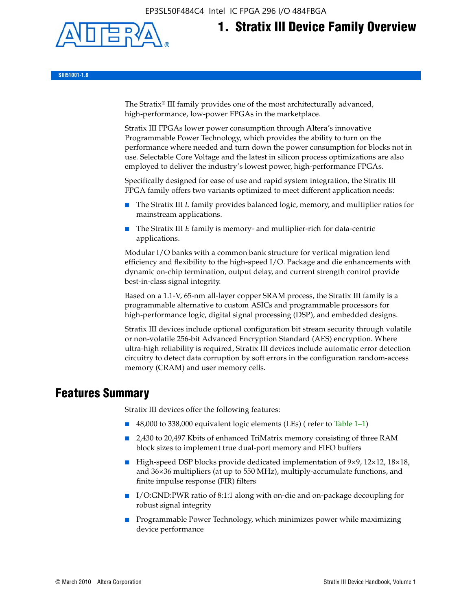EP3SL50F484C4 Intel IC FPGA 296 I/O 484FBGA



# **1. Stratix III Device Family Overview**

**SIII51001-1.8**

The Stratix® III family provides one of the most architecturally advanced, high-performance, low-power FPGAs in the marketplace.

Stratix III FPGAs lower power consumption through Altera's innovative Programmable Power Technology, which provides the ability to turn on the performance where needed and turn down the power consumption for blocks not in use. Selectable Core Voltage and the latest in silicon process optimizations are also employed to deliver the industry's lowest power, high-performance FPGAs.

Specifically designed for ease of use and rapid system integration, the Stratix III FPGA family offers two variants optimized to meet different application needs:

- The Stratix III *L* family provides balanced logic, memory, and multiplier ratios for mainstream applications.
- The Stratix III *E* family is memory- and multiplier-rich for data-centric applications.

Modular I/O banks with a common bank structure for vertical migration lend efficiency and flexibility to the high-speed I/O. Package and die enhancements with dynamic on-chip termination, output delay, and current strength control provide best-in-class signal integrity.

Based on a 1.1-V, 65-nm all-layer copper SRAM process, the Stratix III family is a programmable alternative to custom ASICs and programmable processors for high-performance logic, digital signal processing (DSP), and embedded designs.

Stratix III devices include optional configuration bit stream security through volatile or non-volatile 256-bit Advanced Encryption Standard (AES) encryption. Where ultra-high reliability is required, Stratix III devices include automatic error detection circuitry to detect data corruption by soft errors in the configuration random-access memory (CRAM) and user memory cells.

# **Features Summary**

Stratix III devices offer the following features:

- 48,000 to 338,000 equivalent logic elements (LEs) (refer to Table 1–1)
- 2,430 to 20,497 Kbits of enhanced TriMatrix memory consisting of three RAM block sizes to implement true dual-port memory and FIFO buffers
- High-speed DSP blocks provide dedicated implementation of 9×9, 12×12, 18×18, and 36×36 multipliers (at up to 550 MHz), multiply-accumulate functions, and finite impulse response (FIR) filters
- I/O:GND:PWR ratio of 8:1:1 along with on-die and on-package decoupling for robust signal integrity
- Programmable Power Technology, which minimizes power while maximizing device performance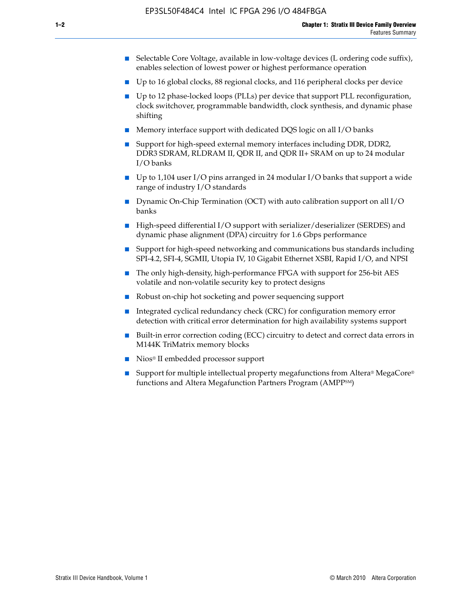- Selectable Core Voltage, available in low-voltage devices (L ordering code suffix), enables selection of lowest power or highest performance operation
- Up to 16 global clocks, 88 regional clocks, and 116 peripheral clocks per device
- Up to 12 phase-locked loops (PLLs) per device that support PLL reconfiguration, clock switchover, programmable bandwidth, clock synthesis, and dynamic phase shifting
- Memory interface support with dedicated DQS logic on all I/O banks
- Support for high-speed external memory interfaces including DDR, DDR2, DDR3 SDRAM, RLDRAM II, QDR II, and QDR II+ SRAM on up to 24 modular I/O banks
- Up to 1,104 user I/O pins arranged in 24 modular I/O banks that support a wide range of industry I/O standards
- Dynamic On-Chip Termination (OCT) with auto calibration support on all  $I/O$ banks
- High-speed differential I/O support with serializer/deserializer (SERDES) and dynamic phase alignment (DPA) circuitry for 1.6 Gbps performance
- Support for high-speed networking and communications bus standards including SPI-4.2, SFI-4, SGMII, Utopia IV, 10 Gigabit Ethernet XSBI, Rapid I/O, and NPSI
- The only high-density, high-performance FPGA with support for 256-bit AES volatile and non-volatile security key to protect designs
- Robust on-chip hot socketing and power sequencing support
- Integrated cyclical redundancy check (CRC) for configuration memory error detection with critical error determination for high availability systems support
- Built-in error correction coding (ECC) circuitry to detect and correct data errors in M144K TriMatrix memory blocks
- Nios<sup>®</sup> II embedded processor support
- Support for multiple intellectual property megafunctions from Altera® MegaCore® functions and Altera Megafunction Partners Program (AMPPSM)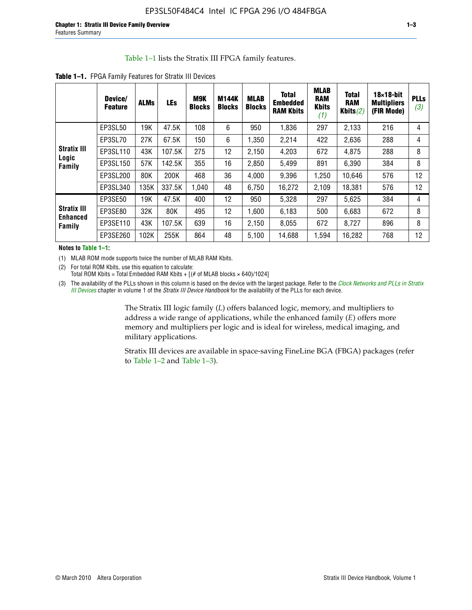#### Table 1–1 lists the Stratix III FPGA family features.

|                           | Device/<br><b>Feature</b> | <b>ALMs</b> | LEs    | M9K<br><b>Blocks</b> | <b>M144K</b><br><b>Blocks</b> | <b>MLAB</b><br><b>Blocks</b> | <b>Total</b><br><b>Embedded</b><br><b>RAM Kbits</b> | <b>MLAB</b><br><b>RAM</b><br><b>Kbits</b><br>(1) | <b>Total</b><br><b>RAM</b><br>Kbits $(2)$ | $18\times18$ -bit<br><b>Multipliers</b><br>(FIR Mode) | <b>PLL</b><br>(3, |
|---------------------------|---------------------------|-------------|--------|----------------------|-------------------------------|------------------------------|-----------------------------------------------------|--------------------------------------------------|-------------------------------------------|-------------------------------------------------------|-------------------|
|                           | EP3SL50                   | 19K         | 47.5K  | 108                  | 6                             | 950                          | 1,836                                               | 297                                              | 2,133                                     | 216                                                   | 4                 |
|                           | EP3SL70                   | 27K         | 67.5K  | 150                  | 6                             | 1,350                        | 2,214                                               | 422                                              | 2,636                                     | 288                                                   | 4                 |
| <b>Stratix III</b>        | EP3SL110                  | 43K         | 107.5K | 275                  | 12                            | 2,150                        | 4,203                                               | 672                                              | 4,875                                     | 288                                                   | 8                 |
| Logic<br>Family           | EP3SL150                  | 57K         | 142.5K | 355                  | 16                            | 2,850                        | 5.499                                               | 891                                              | 6,390                                     | 384                                                   | 8                 |
|                           | EP3SL200                  | 80K         | 200K   | 468                  | 36                            | 4,000                        | 9,396                                               | 1,250                                            | 10,646                                    | 576                                                   | 12                |
|                           | EP3SL340                  | 135K        | 337.5K | 1,040                | 48                            | 6,750                        | 16,272                                              | 2,109                                            | 18,381                                    | 576                                                   | 12                |
|                           | EP3SE50                   | 19K         | 47.5K  | 400                  | 12                            | 950                          | 5,328                                               | 297                                              | 5,625                                     | 384                                                   | 4                 |
| <b>Stratix III</b>        | EP3SE80                   | 32K         | 80K    | 495                  | 12                            | 1,600                        | 6,183                                               | 500                                              | 6,683                                     | 672                                                   | 8                 |
| <b>Enhanced</b><br>Family | EP3SE110                  | 43K         | 107.5K | 639                  | 16                            | 2,150                        | 8.055                                               | 672                                              | 8,727                                     | 896                                                   | 8                 |
|                           | EP3SE260                  | 102K        | 255K   | 864                  | 48                            | 5,100                        | 14,688                                              | 1,594                                            | 16,282                                    | 768                                                   | 12                |

**Table 1–1.** FPGA Family Features for Stratix III Devices

**Notes to Table 1–1:**

(1) MLAB ROM mode supports twice the number of MLAB RAM Kbits.

(2) For total ROM Kbits, use this equation to calculate: Total ROM Kbits = Total Embedded RAM Kbits +  $[(# of MLAB blocks × 640)/1024]$ 

(3) The availability of the PLLs shown in this column is based on the device with the largest package. Refer to the *[Clock Networks and PLLs in Stratix](http://www.altera.com/literature/hb/stx3/stx3_siii51006.pdf)  [III Devices](http://www.altera.com/literature/hb/stx3/stx3_siii51006.pdf)* chapter in volume 1 of the *Stratix III Device Handbook* for the availability of the PLLs for each device.

> The Stratix III logic family (*L*) offers balanced logic, memory, and multipliers to address a wide range of applications, while the enhanced family (*E*) offers more memory and multipliers per logic and is ideal for wireless, medical imaging, and military applications.

Stratix III devices are available in space-saving FineLine BGA (FBGA) packages (refer to Table 1–2 and Table 1–3).

**PLLs**  *(3)*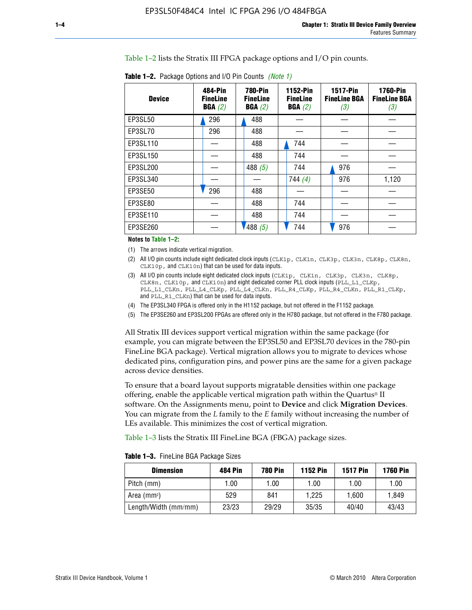Table 1–2 lists the Stratix III FPGA package options and I/O pin counts.

| <b>Device</b>  | 484-Pin<br><b>FineLine</b><br>BGA(2) | <b>780-Pin</b><br><b>FineLine</b><br>BGA(2) | 1152-Pin<br><b>FineLine</b><br>BGA(2) | <b>1517-Pin</b><br><b>FineLine BGA</b><br>(3) | <b>1760-Pin</b><br><b>FineLine BGA</b><br>(3) |
|----------------|--------------------------------------|---------------------------------------------|---------------------------------------|-----------------------------------------------|-----------------------------------------------|
| EP3SL50        | 296                                  | 488                                         |                                       |                                               |                                               |
| EP3SL70        | 296                                  | 488                                         |                                       |                                               |                                               |
| EP3SL110       |                                      | 488                                         | 744                                   |                                               |                                               |
| EP3SL150       |                                      | 488                                         | 744                                   |                                               |                                               |
| EP3SL200       |                                      | 488 $(5)$                                   | 744                                   | 976                                           |                                               |
| EP3SL340       |                                      |                                             | 744(4)                                | 976                                           | 1,120                                         |
| <b>EP3SE50</b> | 296                                  | 488                                         |                                       |                                               |                                               |
| EP3SE80        |                                      | 488                                         | 744                                   |                                               |                                               |
| EP3SE110       |                                      | 488                                         | 744                                   |                                               |                                               |
| EP3SE260       |                                      | 488(5)                                      | 744                                   | 976                                           |                                               |

**Table 1–2.** Package Options and I/O Pin Counts *(Note 1)*

**Notes to Table 1–2:**

(1) The arrows indicate vertical migration.

- (2) All I/O pin counts include eight dedicated clock inputs (CLK1p, CLK1n, CLK3p, CLK3n, CLK8p, CLK8n, CLK10p, and CLK10n) that can be used for data inputs.
- (3) All I/O pin counts include eight dedicated clock inputs (CLK1p, CLK1n, CLK3p, CLK3n, CLK8p, CLK8n, CLK10p, and CLK10n) and eight dedicated corner PLL clock inputs (PLL\_L1\_CLKp, PLL\_L1\_CLKn, PLL\_L4\_CLKp, PLL\_L4\_CLKn, PLL\_R4\_CLKp, PLL\_R4\_CLKn, PLL\_R1\_CLKp, and PLL\_R1\_CLKn) that can be used for data inputs.
- (4) The EP3SL340 FPGA is offered only in the H1152 package, but not offered in the F1152 package.
- (5) The EP3SE260 and EP3SL200 FPGAs are offered only in the H780 package, but not offered in the F780 package.

All Stratix III devices support vertical migration within the same package (for example, you can migrate between the EP3SL50 and EP3SL70 devices in the 780-pin FineLine BGA package). Vertical migration allows you to migrate to devices whose dedicated pins, configuration pins, and power pins are the same for a given package across device densities.

To ensure that a board layout supports migratable densities within one package offering, enable the applicable vertical migration path within the Quartus® II software. On the Assignments menu, point to **Device** and click **Migration Devices**. You can migrate from the *L* family to the *E* family without increasing the number of LEs available. This minimizes the cost of vertical migration.

Table 1–3 lists the Stratix III FineLine BGA (FBGA) package sizes.

|  | <b>Table 1-3.</b> FineLine BGA Package Sizes |  |
|--|----------------------------------------------|--|
|--|----------------------------------------------|--|

| <b>Dimension</b>     | <b>484 Pin</b> | 780 Pin | <b>1152 Pin</b> | <b>1517 Pin</b> | <b>1760 Pin</b> |
|----------------------|----------------|---------|-----------------|-----------------|-----------------|
| Pitch (mm)           | 1.00           | 1.00    | 1.00            | 1.00            | 1.00            |
| Area $(mm^2)$        | 529            | 841     | 1.225           | 1.600           | 1.849           |
| Length/Width (mm/mm) | 23/23          | 29/29   | 35/35           | 40/40           | 43/43           |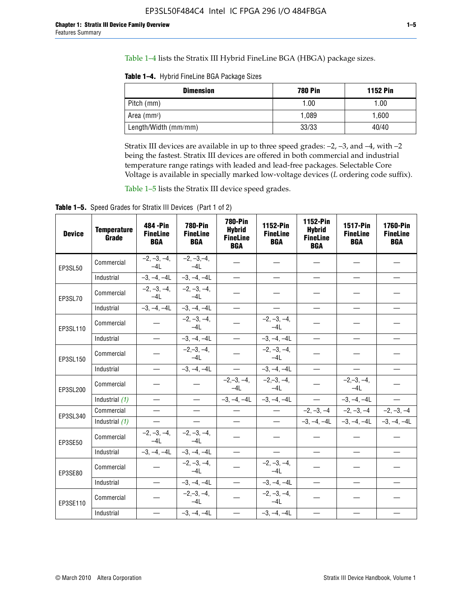Table 1–4 lists the Stratix III Hybrid FineLine BGA (HBGA) package sizes.

**Table 1–4.** Hybrid FineLine BGA Package Sizes

| <b>Dimension</b>     | <b>780 Pin</b> | <b>1152 Pin</b> |
|----------------------|----------------|-----------------|
| Pitch (mm)           | 1.00           | 1.00            |
| Area $(mm^2)$        | 1.089          | 1.600           |
| Length/Width (mm/mm) | 33/33          | 40/40           |

Stratix III devices are available in up to three speed grades: –2, –3, and –4, with –2 being the fastest. Stratix III devices are offered in both commercial and industrial temperature range ratings with leaded and lead-free packages. Selectable Core Voltage is available in specially marked low-voltage devices (*L* ordering code suffix).

Table 1–5 lists the Stratix III device speed grades.

Table 1-5. Speed Grades for Stratix III Devices (Part 1 of 2)

| <b>Device</b> | <b>Temperature</b><br>Grade | 484 - Pin<br><b>FineLine</b><br><b>BGA</b> | <b>780-Pin</b><br><b>FineLine</b><br><b>BGA</b> | <b>780-Pin</b><br><b>Hybrid</b><br><b>FineLine</b><br><b>BGA</b> | 1152-Pin<br><b>FineLine</b><br><b>BGA</b> | 1152-Pin<br><b>Hybrid</b><br><b>FineLine</b><br><b>BGA</b> | 1517-Pin<br><b>FineLine</b><br><b>BGA</b> | <b>1760-Pin</b><br><b>FineLine</b><br><b>BGA</b> |
|---------------|-----------------------------|--------------------------------------------|-------------------------------------------------|------------------------------------------------------------------|-------------------------------------------|------------------------------------------------------------|-------------------------------------------|--------------------------------------------------|
| EP3SL50       | Commercial                  | $-2, -3, -4,$<br>$-4L$                     | $-2, -3, -4,$<br>$-4L$                          |                                                                  |                                           |                                                            |                                           |                                                  |
|               | Industrial                  | $-3, -4, -4L$                              | $-3, -4, -4L$                                   | $\overline{\phantom{0}}$                                         | $\equiv$                                  | $\overline{\phantom{0}}$                                   |                                           | $\overline{\phantom{0}}$                         |
| EP3SL70       | Commercial                  | $-2, -3, -4,$<br>$-4L$                     | $-2, -3, -4,$<br>$-41$                          |                                                                  |                                           |                                                            |                                           |                                                  |
|               | Industrial                  | $-3, -4, -4L$                              | $-3, -4, -4L$                                   | $\overbrace{\phantom{1232211}}$                                  |                                           | $\overline{\phantom{0}}$                                   | $\overline{\phantom{0}}$                  | $\overline{\phantom{0}}$                         |
| EP3SL110      | Commercial                  |                                            | $-2, -3, -4,$<br>$-4L$                          |                                                                  | $-2, -3, -4,$<br>$-4L$                    |                                                            |                                           |                                                  |
|               | Industrial                  | $\equiv$                                   | $-3, -4, -4L$                                   | $\frac{1}{1}$                                                    | $-3, -4, -4L$                             | $\frac{1}{2}$                                              |                                           | $\overline{\phantom{0}}$                         |
| EP3SL150      | Commercial                  |                                            | $-2, -3, -4,$<br>$-41$                          |                                                                  | $-2, -3, -4,$<br>$-41$                    |                                                            |                                           |                                                  |
|               | Industrial                  | $\overline{\phantom{m}}$                   | $-3, -4, -4L$                                   | $\equiv$                                                         | $-3, -4, -4L$                             | $\overline{\phantom{0}}$                                   | $\overline{\phantom{0}}$                  | $\overbrace{\phantom{12322111}}$                 |
| EP3SL200      | Commercial                  |                                            |                                                 | $-2, -3, -4,$<br>$-4L$                                           | $-2, -3, -4,$<br>$-4L$                    |                                                            | $-2,-3,-4,$<br>$-4L$                      |                                                  |
|               | Industrial (1)              | $\equiv$                                   | $\equiv$                                        | $-3, -4, -4L$                                                    | $-3, -4, -4L$                             | $\equiv$                                                   | $-3, -4, -4L$                             | $\equiv$                                         |
| EP3SL340      | Commercial                  |                                            | $\equiv$                                        |                                                                  | $\overline{\phantom{m}}$                  |                                                            | $-2, -3, -4$ $-2, -3, -4$                 | $-2, -3, -4$                                     |
|               | Industrial (1)              |                                            | $\equiv$                                        | $\qquad \qquad -$                                                | $\overline{\phantom{0}}$                  |                                                            | $-3, -4, -4$ $-3, -4, -4$                 | $-3, -4, -4L$                                    |
| EP3SE50       | Commercial                  | $-2, -3, -4,$<br>$-4L$                     | $-2, -3, -4,$<br>$-4L$                          |                                                                  |                                           |                                                            |                                           |                                                  |
|               | Industrial                  | $-3, -4, -4L$                              | $-3, -4, -4L$                                   |                                                                  | $\overline{\phantom{0}}$                  |                                                            | $\overline{\phantom{0}}$                  | $\overline{\phantom{0}}$                         |
| EP3SE80       | Commercial                  |                                            | $-2, -3, -4,$<br>$-41$                          |                                                                  | $-2, -3, -4,$<br>$-4L$                    |                                                            |                                           |                                                  |
|               | Industrial                  | $\overline{\phantom{m}}$                   | $-3, -4, -4L$                                   |                                                                  | $-3, -4, -4L$                             |                                                            | $\equiv$                                  |                                                  |
| EP3SE110      | Commercial                  |                                            | $-2, -3, -4,$<br>$-4L$                          |                                                                  | $-2, -3, -4,$<br>$-4L$                    |                                                            |                                           |                                                  |
|               | Industrial                  |                                            | $-3, -4, -4L$                                   | $\equiv$                                                         | $-3, -4, -4L$                             |                                                            |                                           |                                                  |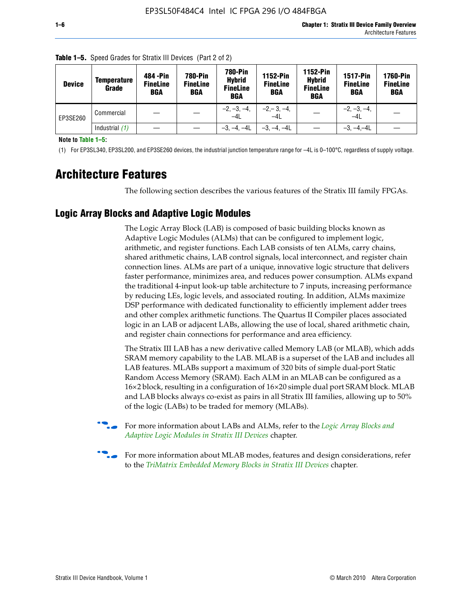| <b>Device</b> | Temperature<br>Grade | 484 - Pin<br><b>FineLine</b><br><b>BGA</b> | <b>780-Pin</b><br><b>FineLine</b><br><b>BGA</b> | <b>780-Pin</b><br><b>Hybrid</b><br><b>FineLine</b><br><b>BGA</b> | <b>1152-Pin</b><br><b>FineLine</b><br><b>BGA</b> | <b>1152-Pin</b><br><b>Hybrid</b><br><b>FineLine</b><br><b>BGA</b> | <b>1517-Pin</b><br><b>FineLine</b><br><b>BGA</b> | <b>1760-Pin</b><br><b>FineLine</b><br><b>BGA</b> |
|---------------|----------------------|--------------------------------------------|-------------------------------------------------|------------------------------------------------------------------|--------------------------------------------------|-------------------------------------------------------------------|--------------------------------------------------|--------------------------------------------------|
| EP3SE260      | Commercial           |                                            |                                                 | $-2, -3, -4,$<br>$-4L$                                           | $-2, -3, -4,$<br>$-4L$                           |                                                                   | $-2, -3, -4,$<br>$-4L$                           |                                                  |
|               | Industrial $(1)$     |                                            |                                                 | $-3, -4, -4L$                                                    | $-3, -4, -4L$                                    |                                                                   | $-3, -4, -4L$                                    |                                                  |

**Table 1–5.** Speed Grades for Stratix III Devices (Part 2 of 2)

**Note to Table 1–5:**

(1) For EP3SL340, EP3SL200, and EP3SE260 devices, the industrial junction temperature range for –4L is 0–100°C, regardless of supply voltage.

# **Architecture Features**

The following section describes the various features of the Stratix III family FPGAs.

### **Logic Array Blocks and Adaptive Logic Modules**

The Logic Array Block (LAB) is composed of basic building blocks known as Adaptive Logic Modules (ALMs) that can be configured to implement logic, arithmetic, and register functions. Each LAB consists of ten ALMs, carry chains, shared arithmetic chains, LAB control signals, local interconnect, and register chain connection lines. ALMs are part of a unique, innovative logic structure that delivers faster performance, minimizes area, and reduces power consumption. ALMs expand the traditional 4-input look-up table architecture to 7 inputs, increasing performance by reducing LEs, logic levels, and associated routing. In addition, ALMs maximize DSP performance with dedicated functionality to efficiently implement adder trees and other complex arithmetic functions. The Quartus II Compiler places associated logic in an LAB or adjacent LABs, allowing the use of local, shared arithmetic chain, and register chain connections for performance and area efficiency.

The Stratix III LAB has a new derivative called Memory LAB (or MLAB), which adds SRAM memory capability to the LAB. MLAB is a superset of the LAB and includes all LAB features. MLABs support a maximum of 320 bits of simple dual-port Static Random Access Memory (SRAM). Each ALM in an MLAB can be configured as a 16×2 block, resulting in a configuration of 16×20 simple dual port SRAM block. MLAB and LAB blocks always co-exist as pairs in all Stratix III families, allowing up to 50% of the logic (LABs) to be traded for memory (MLABs).



f For more information about LABs and ALMs, refer to the *[Logic Array Blocks and](http://www.altera.com/literature/hb/stx3/stx3_siii51002.pdf)  [Adaptive Logic Modules in Stratix III Devices](http://www.altera.com/literature/hb/stx3/stx3_siii51002.pdf)* chapter.



For more information about MLAB modes, features and design considerations, refer to the *[TriMatrix Embedded Memory Blocks in Stratix III Devices](http://www.altera.com/literature/hb/stx3/stx3_siii51004.pdf)* chapter.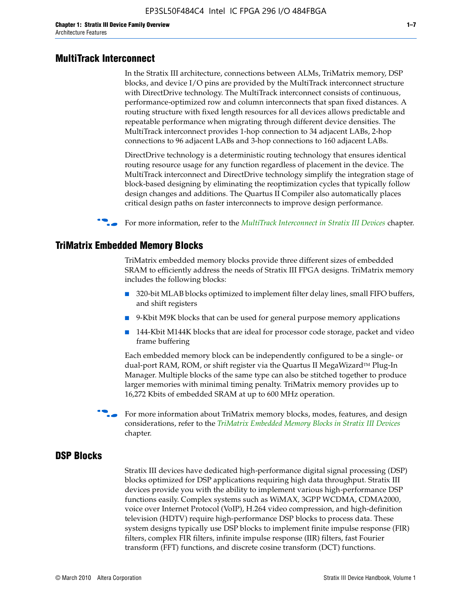#### **MultiTrack Interconnect**

In the Stratix III architecture, connections between ALMs, TriMatrix memory, DSP blocks, and device I/O pins are provided by the MultiTrack interconnect structure with DirectDrive technology. The MultiTrack interconnect consists of continuous, performance-optimized row and column interconnects that span fixed distances. A routing structure with fixed length resources for all devices allows predictable and repeatable performance when migrating through different device densities. The MultiTrack interconnect provides 1-hop connection to 34 adjacent LABs, 2-hop connections to 96 adjacent LABs and 3-hop connections to 160 adjacent LABs.

DirectDrive technology is a deterministic routing technology that ensures identical routing resource usage for any function regardless of placement in the device. The MultiTrack interconnect and DirectDrive technology simplify the integration stage of block-based designing by eliminating the reoptimization cycles that typically follow design changes and additions. The Quartus II Compiler also automatically places critical design paths on faster interconnects to improve design performance.

#### f For more information, refer to the *[MultiTrack Interconnect in Stratix III Devices](http://www.altera.com/literature/hb/stx3/stx3_siii51003.pdf)* chapter.

#### **TriMatrix Embedded Memory Blocks**

TriMatrix embedded memory blocks provide three different sizes of embedded SRAM to efficiently address the needs of Stratix III FPGA designs. TriMatrix memory includes the following blocks:

- 320-bit MLAB blocks optimized to implement filter delay lines, small FIFO buffers, and shift registers
- 9-Kbit M9K blocks that can be used for general purpose memory applications
- 144-Kbit M144K blocks that are ideal for processor code storage, packet and video frame buffering

Each embedded memory block can be independently configured to be a single- or dual-port RAM, ROM, or shift register via the Quartus II MegaWizard™ Plug-In Manager. Multiple blocks of the same type can also be stitched together to produce larger memories with minimal timing penalty. TriMatrix memory provides up to 16,272 Kbits of embedded SRAM at up to 600 MHz operation.

For more information about TriMatrix memory blocks, modes, features, and design considerations, refer to the *[TriMatrix Embedded Memory Blocks in Stratix III Devices](http://www.altera.com/literature/hb/stx3/stx3_siii51004.pdf)* chapter.

#### **DSP Blocks**

Stratix III devices have dedicated high-performance digital signal processing (DSP) blocks optimized for DSP applications requiring high data throughput. Stratix III devices provide you with the ability to implement various high-performance DSP functions easily. Complex systems such as WiMAX, 3GPP WCDMA, CDMA2000, voice over Internet Protocol (VoIP), H.264 video compression, and high-definition television (HDTV) require high-performance DSP blocks to process data. These system designs typically use DSP blocks to implement finite impulse response (FIR) filters, complex FIR filters, infinite impulse response (IIR) filters, fast Fourier transform (FFT) functions, and discrete cosine transform (DCT) functions.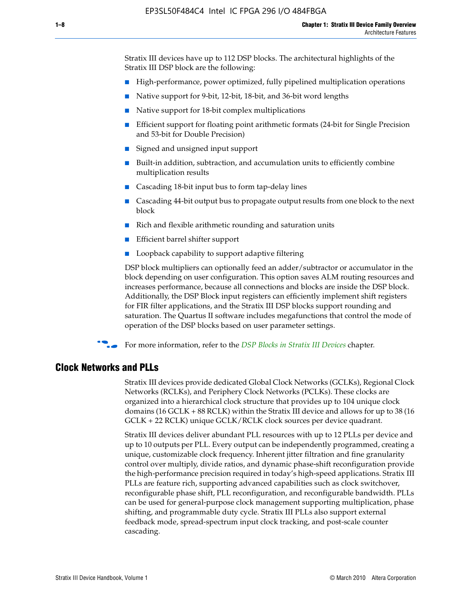Stratix III devices have up to 112 DSP blocks. The architectural highlights of the Stratix III DSP block are the following:

- High-performance, power optimized, fully pipelined multiplication operations
- Native support for 9-bit, 12-bit, 18-bit, and 36-bit word lengths
- Native support for 18-bit complex multiplications
- Efficient support for floating point arithmetic formats (24-bit for Single Precision and 53-bit for Double Precision)
- Signed and unsigned input support
- Built-in addition, subtraction, and accumulation units to efficiently combine multiplication results
- Cascading 18-bit input bus to form tap-delay lines
- Cascading 44-bit output bus to propagate output results from one block to the next block
- Rich and flexible arithmetic rounding and saturation units
- Efficient barrel shifter support
- Loopback capability to support adaptive filtering

DSP block multipliers can optionally feed an adder/subtractor or accumulator in the block depending on user configuration. This option saves ALM routing resources and increases performance, because all connections and blocks are inside the DSP block. Additionally, the DSP Block input registers can efficiently implement shift registers for FIR filter applications, and the Stratix III DSP blocks support rounding and saturation. The Quartus II software includes megafunctions that control the mode of operation of the DSP blocks based on user parameter settings.

f For more information, refer to the *[DSP Blocks in Stratix III Devices](http://www.altera.com/literature/hb/stx3/stx3_siii51005.pdf)* chapter.

#### **Clock Networks and PLLs**

Stratix III devices provide dedicated Global Clock Networks (GCLKs), Regional Clock Networks (RCLKs), and Periphery Clock Networks (PCLKs). These clocks are organized into a hierarchical clock structure that provides up to 104 unique clock domains (16 GCLK + 88 RCLK) within the Stratix III device and allows for up to 38 (16 GCLK + 22 RCLK) unique GCLK/RCLK clock sources per device quadrant.

Stratix III devices deliver abundant PLL resources with up to 12 PLLs per device and up to 10 outputs per PLL. Every output can be independently programmed, creating a unique, customizable clock frequency. Inherent jitter filtration and fine granularity control over multiply, divide ratios, and dynamic phase-shift reconfiguration provide the high-performance precision required in today's high-speed applications. Stratix III PLLs are feature rich, supporting advanced capabilities such as clock switchover, reconfigurable phase shift, PLL reconfiguration, and reconfigurable bandwidth. PLLs can be used for general-purpose clock management supporting multiplication, phase shifting, and programmable duty cycle. Stratix III PLLs also support external feedback mode, spread-spectrum input clock tracking, and post-scale counter cascading.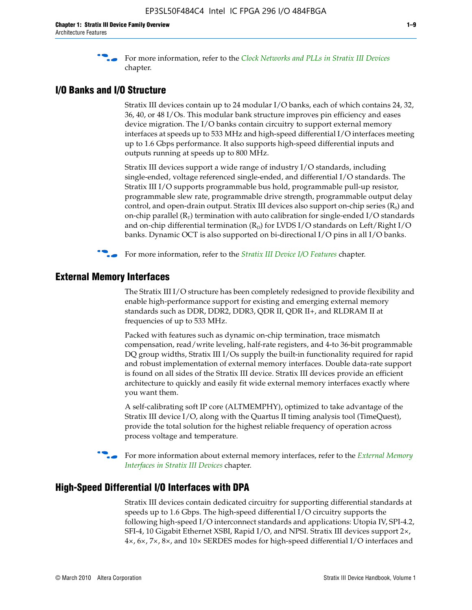f For more information, refer to the *[Clock Networks and PLLs in Stratix III Devices](http://www.altera.com/literature/hb/stx3/stx3_siii51006.pdf)* chapter.

### **I/O Banks and I/O Structure**

Stratix III devices contain up to 24 modular I/O banks, each of which contains 24, 32, 36, 40, or 48 I/Os. This modular bank structure improves pin efficiency and eases device migration. The I/O banks contain circuitry to support external memory interfaces at speeds up to 533 MHz and high-speed differential I/O interfaces meeting up to 1.6 Gbps performance. It also supports high-speed differential inputs and outputs running at speeds up to 800 MHz.

Stratix III devices support a wide range of industry I/O standards, including single-ended, voltage referenced single-ended, and differential I/O standards. The Stratix III I/O supports programmable bus hold, programmable pull-up resistor, programmable slew rate, programmable drive strength, programmable output delay control, and open-drain output. Stratix III devices also support on-chip series  $(R<sub>s</sub>)$  and on-chip parallel  $(R_T)$  termination with auto calibration for single-ended I/O standards and on-chip differential termination  $(R_D)$  for LVDS I/O standards on Left/Right I/O banks. Dynamic OCT is also supported on bi-directional I/O pins in all I/O banks.

**For more information, refer to the** *[Stratix III Device I/O Features](http://www.altera.com/literature/hb/stx3/stx3_siii51007.pdf)* **chapter.** 

## **External Memory Interfaces**

The Stratix III I/O structure has been completely redesigned to provide flexibility and enable high-performance support for existing and emerging external memory standards such as DDR, DDR2, DDR3, QDR II, QDR II+, and RLDRAM II at frequencies of up to 533 MHz.

Packed with features such as dynamic on-chip termination, trace mismatch compensation, read/write leveling, half-rate registers, and 4-to 36-bit programmable DQ group widths, Stratix III I/Os supply the built-in functionality required for rapid and robust implementation of external memory interfaces. Double data-rate support is found on all sides of the Stratix III device. Stratix III devices provide an efficient architecture to quickly and easily fit wide external memory interfaces exactly where you want them.

A self-calibrating soft IP core (ALTMEMPHY), optimized to take advantage of the Stratix III device I/O, along with the Quartus II timing analysis tool (TimeQuest), provide the total solution for the highest reliable frequency of operation across process voltage and temperature.

f For more information about external memory interfaces, refer to the *[External Memory](http://www.altera.com/literature/hb/stx3/stx3_siii51008.pdf)  [Interfaces in Stratix III Devices](http://www.altera.com/literature/hb/stx3/stx3_siii51008.pdf)* chapter.

#### **High-Speed Differential I/O Interfaces with DPA**

Stratix III devices contain dedicated circuitry for supporting differential standards at speeds up to 1.6 Gbps. The high-speed differential I/O circuitry supports the following high-speed I/O interconnect standards and applications: Utopia IV, SPI-4.2, SFI-4, 10 Gigabit Ethernet XSBI, Rapid I/O, and NPSI. Stratix III devices support 2×, 4×, 6×, 7×, 8×, and 10× SERDES modes for high-speed differential I/O interfaces and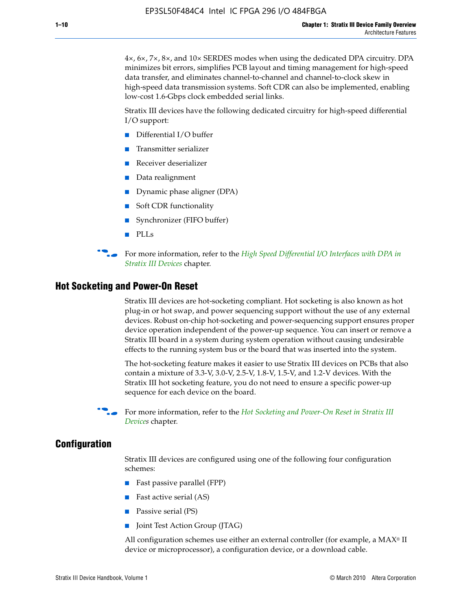4×, 6×, 7×, 8×, and 10× SERDES modes when using the dedicated DPA circuitry. DPA minimizes bit errors, simplifies PCB layout and timing management for high-speed data transfer, and eliminates channel-to-channel and channel-to-clock skew in high-speed data transmission systems. Soft CDR can also be implemented, enabling low-cost 1.6-Gbps clock embedded serial links.

Stratix III devices have the following dedicated circuitry for high-speed differential I/O support:

- Differential I/O buffer
- Transmitter serializer
- Receiver deserializer
- Data realignment
- Dynamic phase aligner (DPA)
- Soft CDR functionality
- Synchronizer (FIFO buffer)
- PLLs

**for more information, refer to the** *High Speed Differential I/O Interfaces with DPA in [Stratix III Devices](http://www.altera.com/literature/hb/stx3/stx3_siii51009.pdf)* chapter.

#### **Hot Socketing and Power-On Reset**

Stratix III devices are hot-socketing compliant. Hot socketing is also known as hot plug-in or hot swap, and power sequencing support without the use of any external devices. Robust on-chip hot-socketing and power-sequencing support ensures proper device operation independent of the power-up sequence. You can insert or remove a Stratix III board in a system during system operation without causing undesirable effects to the running system bus or the board that was inserted into the system.

The hot-socketing feature makes it easier to use Stratix III devices on PCBs that also contain a mixture of 3.3-V, 3.0-V, 2.5-V, 1.8-V, 1.5-V, and 1.2-V devices. With the Stratix III hot socketing feature, you do not need to ensure a specific power-up sequence for each device on the board.

For more information, refer to the *Hot Socketing and Power-On Reset in Stratix III [Device](http://www.altera.com/literature/hb/stx3/stx3_siii51010.pdf)s* chapter.

#### **Configuration**

Stratix III devices are configured using one of the following four configuration schemes:

- Fast passive parallel (FPP)
- Fast active serial (AS)
- Passive serial (PS)
- Joint Test Action Group (JTAG)

All configuration schemes use either an external controller (for example, a  $MAX<sup>®</sup>$  II device or microprocessor), a configuration device, or a download cable.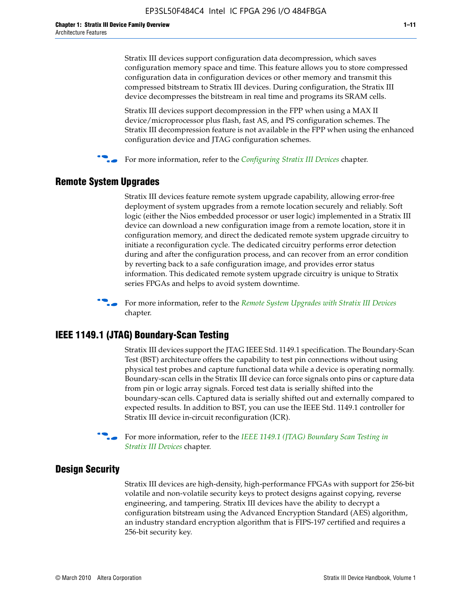Stratix III devices support configuration data decompression, which saves configuration memory space and time. This feature allows you to store compressed configuration data in configuration devices or other memory and transmit this compressed bitstream to Stratix III devices. During configuration, the Stratix III device decompresses the bitstream in real time and programs its SRAM cells.

Stratix III devices support decompression in the FPP when using a MAX II device/microprocessor plus flash, fast AS, and PS configuration schemes. The Stratix III decompression feature is not available in the FPP when using the enhanced configuration device and JTAG configuration schemes.

For more information, refer to the *[Configuring Stratix III Devices](http://www.altera.com/literature/hb/stx3/stx3_siii51011.pdf)* chapter.

## **Remote System Upgrades**

Stratix III devices feature remote system upgrade capability, allowing error-free deployment of system upgrades from a remote location securely and reliably. Soft logic (either the Nios embedded processor or user logic) implemented in a Stratix III device can download a new configuration image from a remote location, store it in configuration memory, and direct the dedicated remote system upgrade circuitry to initiate a reconfiguration cycle. The dedicated circuitry performs error detection during and after the configuration process, and can recover from an error condition by reverting back to a safe configuration image, and provides error status information. This dedicated remote system upgrade circuitry is unique to Stratix series FPGAs and helps to avoid system downtime.



**For more information, refer to the** *[Remote System Upgrades with Stratix III Devices](http://www.altera.com/literature/hb/stx3/stx3_siii51012.pdf)* chapter.

## **IEEE 1149.1 (JTAG) Boundary-Scan Testing**

Stratix III devices support the JTAG IEEE Std. 1149.1 specification. The Boundary-Scan Test (BST) architecture offers the capability to test pin connections without using physical test probes and capture functional data while a device is operating normally. Boundary-scan cells in the Stratix III device can force signals onto pins or capture data from pin or logic array signals. Forced test data is serially shifted into the boundary-scan cells. Captured data is serially shifted out and externally compared to expected results. In addition to BST, you can use the IEEE Std. 1149.1 controller for Stratix III device in-circuit reconfiguration (ICR).

For more information, refer to the *IEEE 1149.1 (JTAG) Boundary Scan Testing in [Stratix III Devices](http://www.altera.com/literature/hb/stx3/stx3_siii51013.pdf)* chapter.

## **Design Security**

Stratix III devices are high-density, high-performance FPGAs with support for 256-bit volatile and non-volatile security keys to protect designs against copying, reverse engineering, and tampering. Stratix III devices have the ability to decrypt a configuration bitstream using the Advanced Encryption Standard (AES) algorithm, an industry standard encryption algorithm that is FIPS-197 certified and requires a 256-bit security key.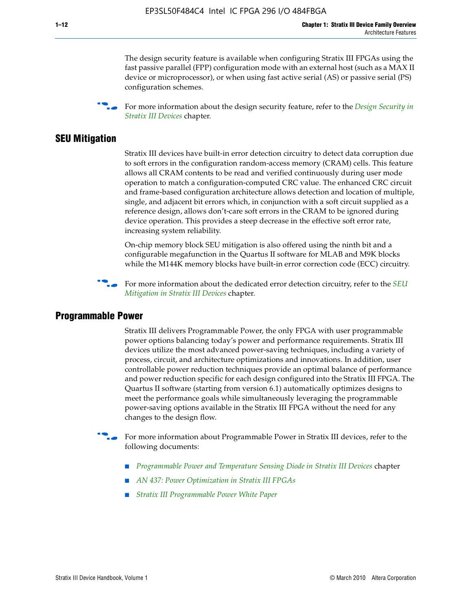The design security feature is available when configuring Stratix III FPGAs using the fast passive parallel (FPP) configuration mode with an external host (such as a MAX II device or microprocessor), or when using fast active serial (AS) or passive serial (PS) configuration schemes.

f For more information about the design security feature, refer to the *[Design Security in](http://www.altera.com/literature/hb/stx3/stx3_siii51014.pdf)  [Stratix III Devices](http://www.altera.com/literature/hb/stx3/stx3_siii51014.pdf)* chapter.

#### **SEU Mitigation**

Stratix III devices have built-in error detection circuitry to detect data corruption due to soft errors in the configuration random-access memory (CRAM) cells. This feature allows all CRAM contents to be read and verified continuously during user mode operation to match a configuration-computed CRC value. The enhanced CRC circuit and frame-based configuration architecture allows detection and location of multiple, single, and adjacent bit errors which, in conjunction with a soft circuit supplied as a reference design, allows don't-care soft errors in the CRAM to be ignored during device operation. This provides a steep decrease in the effective soft error rate, increasing system reliability.

On-chip memory block SEU mitigation is also offered using the ninth bit and a configurable megafunction in the Quartus II software for MLAB and M9K blocks while the M144K memory blocks have built-in error correction code (ECC) circuitry.

For more information about the dedicated error detection circuitry, refer to the *SEU [Mitigation in Stratix III Devices](http://www.altera.com/literature/hb/stx3/stx3_siii51015.pdf)* chapter.

#### **Programmable Power**

Stratix III delivers Programmable Power, the only FPGA with user programmable power options balancing today's power and performance requirements. Stratix III devices utilize the most advanced power-saving techniques, including a variety of process, circuit, and architecture optimizations and innovations. In addition, user controllable power reduction techniques provide an optimal balance of performance and power reduction specific for each design configured into the Stratix III FPGA. The Quartus II software (starting from version 6.1) automatically optimizes designs to meet the performance goals while simultaneously leveraging the programmable power-saving options available in the Stratix III FPGA without the need for any changes to the design flow.

For more information about Programmable Power in Stratix III devices, refer to the following documents:

- *[Programmable Power and Temperature Sensing Diode in Stratix III Devices](http://www.altera.com/literature/hb/stx3/stx3_siii51016.pdf)* chapter
- *[AN 437: Power Optimization in Stratix III FPGAs](http://www.altera.com/literature/an/AN437.pdf)*
- *[Stratix III Programmable Power White Paper](http://www.altera.com/literature/wp/wp-01006.pdf)*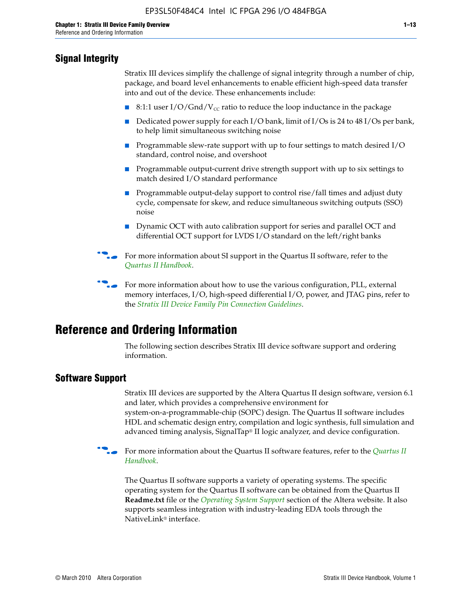# **Signal Integrity**

Stratix III devices simplify the challenge of signal integrity through a number of chip, package, and board level enhancements to enable efficient high-speed data transfer into and out of the device. These enhancements include:

- 8:1:1 user I/O/Gnd/V<sub>cc</sub> ratio to reduce the loop inductance in the package
- Dedicated power supply for each I/O bank, limit of I/Os is 24 to 48 I/Os per bank, to help limit simultaneous switching noise
- Programmable slew-rate support with up to four settings to match desired I/O standard, control noise, and overshoot
- Programmable output-current drive strength support with up to six settings to match desired I/O standard performance
- Programmable output-delay support to control rise/fall times and adjust duty cycle, compensate for skew, and reduce simultaneous switching outputs (SSO) noise
- Dynamic OCT with auto calibration support for series and parallel OCT and differential OCT support for LVDS I/O standard on the left/right banks
- For mor[e](http://www.altera.com/literature/hb/qts/quartusii_handbook.pdf) information about SI support in the Quartus II software, refer to the *[Quartus II Handbook](http://www.altera.com/literature/hb/qts/quartusii_handbook.pdf)*.

For more information about how to use the various configuration, PLL, external memory interfaces, I/O, high-speed differential I/O, power, and JTAG pins, refer to the *[Stratix III Device Family Pin Connection Guidelines](http://www.altera.com/literature/dp/stx3/PCG-01004.pdf)*.

# **Reference and Ordering Information**

The following section describes Stratix III device software support and ordering information.

## **Software Support**

Stratix III devices are supported by the Altera Quartus II design software, version 6.1 and later, which provides a comprehensive environment for system-on-a-programmable-chip (SOPC) design. The Quartus II software includes HDL and schematic design entry, compilation and logic synthesis, full simulation and advanced timing analysis, SignalTap® II logic analyzer, and device configuration.

**For more information about the [Quartus II](http://www.altera.com/literature/hb/qts/quartusii_handbook.pdf) software features, refer to the** *Quartus II* **<b>Fig. 7** *[Handbook](http://www.altera.com/literature/hb/qts/quartusii_handbook.pdf)*.

The Quartus II software supports a variety of operating systems. The specific operating system for the Quartus II software can be obtained from the Quartus II **Readme.txt** file or the *[Operating System Support](http://www.altera.com/support/software/os_support/oss-index.html)* section of the Altera website. It also supports seamless integration with industry-leading EDA tools through the NativeLink® interface.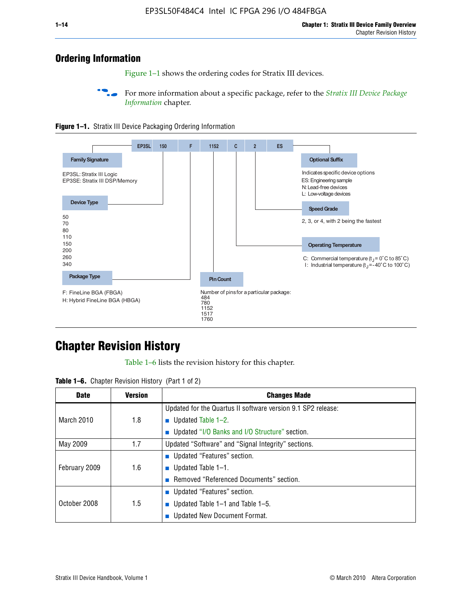# **Ordering Information**

Figure 1–1 shows the ordering codes for Stratix III devices.

For more information about a specific package, refer to the *Stratix III Device Package [Information](http://www.altera.com/literature/hb/stx3/stx3_siii51017.pdf)* chapter.





# **[C](http://www.altera.com/literature/hb/stx3/stx3_siii51012.pdf)hapter Revision History**

Table 1–6 lists the revision history for this chapter.

| <b>Table 1–6.</b> Chapter Revision History (Part 1 of 2) |  |  |  |  |  |
|----------------------------------------------------------|--|--|--|--|--|
|----------------------------------------------------------|--|--|--|--|--|

| <b>Date</b>       | <b>Version</b> | <b>Changes Made</b>                                          |
|-------------------|----------------|--------------------------------------------------------------|
|                   |                | Updated for the Quartus II software version 9.1 SP2 release: |
| <b>March 2010</b> | 1.8            | <b>u</b> Updated Table $1-2$ .                               |
|                   |                | ■ Updated "I/O Banks and I/O Structure" section.             |
| May 2009          | 1.7            | Updated "Software" and "Signal Integrity" sections.          |
|                   |                | ■ Updated "Features" section.                                |
| February 2009     | 1.6            | <b>u</b> Updated Table $1-1$ .                               |
|                   |                | Removed "Referenced Documents" section.                      |
|                   |                | ■ Updated "Features" section.                                |
| October 2008      | 1.5            | ■ Updated Table $1-1$ and Table $1-5$ .                      |
|                   |                | Updated New Document Format.                                 |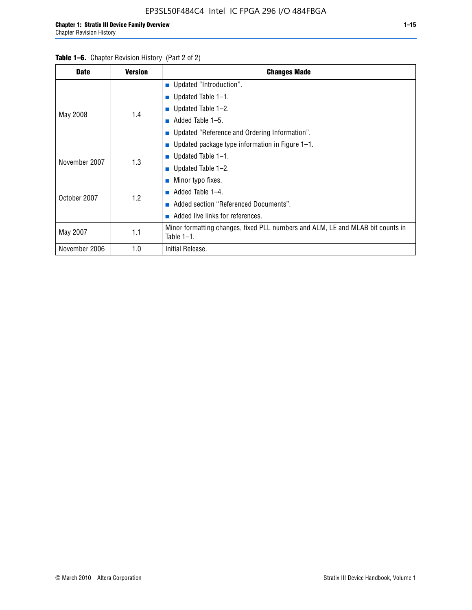| <b>Date</b>   | <b>Version</b> | <b>Changes Made</b>                                                                             |
|---------------|----------------|-------------------------------------------------------------------------------------------------|
|               |                | <b>Updated "Introduction".</b>                                                                  |
|               |                | $\blacksquare$ Updated Table 1-1.                                                               |
|               | 1.4            | <b>u</b> Updated Table $1-2$ .                                                                  |
| May 2008      |                | Added Table 1-5.<br><b>COL</b>                                                                  |
|               |                | ■ Updated "Reference and Ordering Information".                                                 |
|               |                | Updated package type information in Figure 1-1.                                                 |
| November 2007 | 1.3            | $\blacksquare$ Updated Table 1-1.                                                               |
|               |                | ■ Updated Table $1-2$ .                                                                         |
|               |                | $\blacksquare$ Minor typo fixes.                                                                |
| October 2007  | 1.2            | Added Table 1-4.<br><b>COL</b>                                                                  |
|               |                | Added section "Referenced Documents".                                                           |
|               |                | Added live links for references.                                                                |
| May 2007      | 1.1            | Minor formatting changes, fixed PLL numbers and ALM, LE and MLAB bit counts in<br>Table $1-1$ . |
| November 2006 | 1.0            | Initial Release.                                                                                |